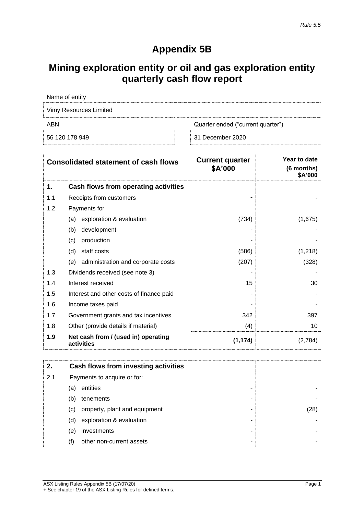## **Appendix 5B**

## **Mining exploration entity or oil and gas exploration entity quarterly cash flow report**

| Name of entity         |                                   |
|------------------------|-----------------------------------|
| Vimy Resources Limited |                                   |
| ABN                    | Quarter ended ("current quarter") |
| 56 120 178 949         | 31 December 2020                  |

| <b>Consolidated statement of cash flows</b> |                                                   | <b>Current quarter</b><br>\$A'000 | Year to date<br>(6 months)<br>\$A'000 |
|---------------------------------------------|---------------------------------------------------|-----------------------------------|---------------------------------------|
| 1.                                          | Cash flows from operating activities              |                                   |                                       |
| 1.1                                         | Receipts from customers                           |                                   |                                       |
| 1.2                                         | Payments for                                      |                                   |                                       |
|                                             | exploration & evaluation<br>(a)                   | (734)                             | (1,675)                               |
|                                             | (b)<br>development                                |                                   |                                       |
|                                             | production<br>(c)                                 |                                   |                                       |
|                                             | staff costs<br>(d)                                | (586)                             | (1,218)                               |
|                                             | (e) administration and corporate costs            | (207)                             | (328)                                 |
| 1.3                                         | Dividends received (see note 3)                   |                                   |                                       |
| 1.4                                         | Interest received                                 | 15                                | 30                                    |
| 1.5                                         | Interest and other costs of finance paid          |                                   |                                       |
| 1.6                                         | Income taxes paid                                 |                                   |                                       |
| 1.7                                         | Government grants and tax incentives              | 342                               | 397                                   |
| 1.8                                         | Other (provide details if material)               | (4)                               | 10                                    |
| 1.9                                         | Net cash from / (used in) operating<br>activities | (1, 174)                          | (2,784)                               |
| 2.                                          | Cash flows from investing activities              |                                   |                                       |
| 2.1                                         | Payments to acquire or for:                       |                                   |                                       |
|                                             | entities<br>(a)                                   |                                   |                                       |
|                                             | (b)<br>tenements                                  |                                   |                                       |
|                                             | (c)<br>property, plant and equipment              |                                   | (28)                                  |
|                                             | exploration & evaluation<br>(d)                   |                                   |                                       |
|                                             | investments<br>(e)                                |                                   |                                       |
|                                             | (f)<br>other non-current assets                   |                                   |                                       |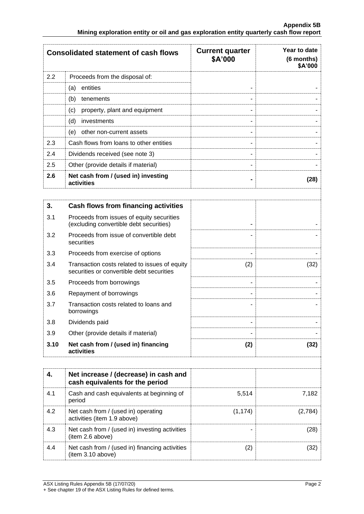|     | <b>Consolidated statement of cash flows</b>       | <b>Current quarter</b><br>\$A'000 | Year to date<br>(6 months)<br>\$A'000 |
|-----|---------------------------------------------------|-----------------------------------|---------------------------------------|
| 2.2 | Proceeds from the disposal of:                    |                                   |                                       |
|     | entities<br>(a)                                   |                                   |                                       |
|     | (b)<br>tenements                                  | ۰                                 |                                       |
|     | property, plant and equipment<br>(c)              | ۰                                 |                                       |
|     | (d)<br>investments                                | ۰                                 |                                       |
|     | (e)<br>other non-current assets                   | ۰                                 |                                       |
| 2.3 | Cash flows from loans to other entities           |                                   |                                       |
| 2.4 | Dividends received (see note 3)                   | ۰                                 |                                       |
| 2.5 | Other (provide details if material)               | ۰                                 |                                       |
| 2.6 | Net cash from / (used in) investing<br>activities |                                   | (28)                                  |
|     |                                                   |                                   |                                       |
| 3.  | Cash flows from financing activities              |                                   |                                       |

| 3.1  | Proceeds from issues of equity securities                                                  |     |      |
|------|--------------------------------------------------------------------------------------------|-----|------|
|      | (excluding convertible debt securities)                                                    |     |      |
| 3.2  | Proceeds from issue of convertible debt<br>securities                                      |     |      |
| 3.3  | Proceeds from exercise of options                                                          | ۰   |      |
| 3.4  | Transaction costs related to issues of equity<br>securities or convertible debt securities | (2) | (32) |
| 3.5  | Proceeds from borrowings                                                                   |     |      |
| 3.6  | Repayment of borrowings                                                                    | ۰   |      |
| 3.7  | Transaction costs related to loans and<br>borrowings                                       |     |      |
| 3.8  | Dividends paid                                                                             |     |      |
| 3.9  | Other (provide details if material)                                                        |     |      |
| 3.10 | Net cash from / (used in) financing<br>activities                                          | (2) | (32) |

|     | Net increase / (decrease) in cash and<br>cash equivalents for the period |          |         |
|-----|--------------------------------------------------------------------------|----------|---------|
| 4.1 | Cash and cash equivalents at beginning of<br>period                      | 5,514    | 7.182   |
| 4.2 | Net cash from / (used in) operating<br>activities (item 1.9 above)       | (1, 174) | (2,784) |
| 4.3 | Net cash from / (used in) investing activities<br>(item 2.6 above)       |          | (28)    |
| 4.4 | Net cash from / (used in) financing activities<br>(item 3.10 above)      |          | (32)    |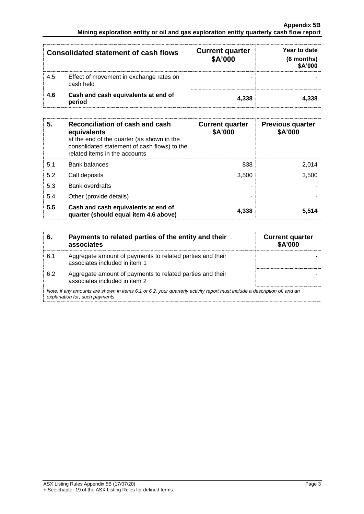| <b>Consolidated statement of cash flows</b> |                                                      | <b>Current quarter</b><br>\$A'000 | Year to date<br>$(6$ months)<br>\$A'000 |
|---------------------------------------------|------------------------------------------------------|-----------------------------------|-----------------------------------------|
| 4.5                                         | Effect of movement in exchange rates on<br>cash held |                                   |                                         |
| 4.6                                         | Cash and cash equivalents at end of<br>period        | 4,338                             | 4.338                                   |

| 5.  | Reconciliation of cash and cash<br>equivalents<br>at the end of the quarter (as shown in the<br>consolidated statement of cash flows) to the<br>related items in the accounts | <b>Current quarter</b><br>\$A'000 | <b>Previous quarter</b><br>\$A'000 |
|-----|-------------------------------------------------------------------------------------------------------------------------------------------------------------------------------|-----------------------------------|------------------------------------|
| 5.1 | <b>Bank balances</b>                                                                                                                                                          | 838                               | 2.014                              |
| 5.2 | Call deposits                                                                                                                                                                 | 3.500                             | 3,500                              |
| 5.3 | Bank overdrafts                                                                                                                                                               |                                   |                                    |
| 5.4 | Other (provide details)                                                                                                                                                       |                                   |                                    |
| 5.5 | Cash and cash equivalents at end of<br>quarter (should equal item 4.6 above)                                                                                                  | 4.338                             | 5.514                              |

| 6.  | Payments to related parties of the entity and their<br>associates                                                                                           | <b>Current quarter</b><br><b>\$A'000</b> |
|-----|-------------------------------------------------------------------------------------------------------------------------------------------------------------|------------------------------------------|
| 6.1 | Aggregate amount of payments to related parties and their<br>associates included in item 1                                                                  |                                          |
| 6.2 | Aggregate amount of payments to related parties and their<br>associates included in item 2                                                                  |                                          |
|     | Note: if any amounts are shown in items 6.1 or 6.2, your quarterly activity report must include a description of, and an<br>explanation for, such payments. |                                          |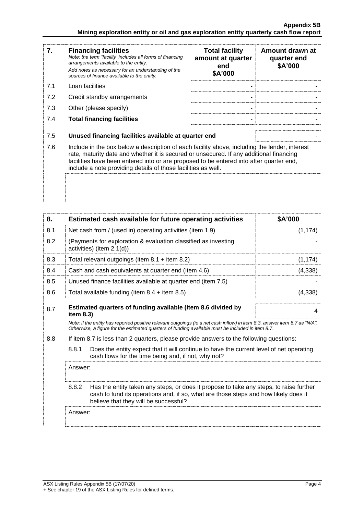| 7.  | <b>Financing facilities</b><br>Note: the term "facility' includes all forms of financing<br>arrangements available to the entity.<br>Add notes as necessary for an understanding of the<br>sources of finance available to the entity.                                                                                                               | <b>Total facility</b><br>amount at quarter<br>end<br>\$A'000 | Amount drawn at<br>quarter end<br>\$A'000 |
|-----|------------------------------------------------------------------------------------------------------------------------------------------------------------------------------------------------------------------------------------------------------------------------------------------------------------------------------------------------------|--------------------------------------------------------------|-------------------------------------------|
| 7.1 | Loan facilities                                                                                                                                                                                                                                                                                                                                      |                                                              |                                           |
| 7.2 | Credit standby arrangements                                                                                                                                                                                                                                                                                                                          |                                                              |                                           |
| 7.3 | Other (please specify)                                                                                                                                                                                                                                                                                                                               |                                                              |                                           |
| 7.4 | <b>Total financing facilities</b>                                                                                                                                                                                                                                                                                                                    |                                                              |                                           |
| 7.5 | Unused financing facilities available at quarter end                                                                                                                                                                                                                                                                                                 |                                                              |                                           |
| 7.6 | Include in the box below a description of each facility above, including the lender, interest<br>rate, maturity date and whether it is secured or unsecured. If any additional financing<br>facilities have been entered into or are proposed to be entered into after quarter end,<br>include a note providing details of those facilities as well. |                                                              |                                           |
|     |                                                                                                                                                                                                                                                                                                                                                      |                                                              |                                           |

| 8.                                                                                             |                                                           | Estimated cash available for future operating activities                                                                                                                                                                                                                                        | \$A'000  |
|------------------------------------------------------------------------------------------------|-----------------------------------------------------------|-------------------------------------------------------------------------------------------------------------------------------------------------------------------------------------------------------------------------------------------------------------------------------------------------|----------|
| 8.1                                                                                            | Net cash from / (used in) operating activities (item 1.9) |                                                                                                                                                                                                                                                                                                 | (1, 174) |
| 8.2                                                                                            |                                                           | (Payments for exploration & evaluation classified as investing<br>activities) (item 2.1(d))                                                                                                                                                                                                     |          |
| 8.3                                                                                            |                                                           | Total relevant outgoings (item $8.1 +$ item $8.2$ )                                                                                                                                                                                                                                             | (1, 174) |
| 8.4                                                                                            |                                                           | Cash and cash equivalents at quarter end (item 4.6)                                                                                                                                                                                                                                             | (4, 338) |
| 8.5                                                                                            |                                                           | Unused finance facilities available at quarter end (item 7.5)                                                                                                                                                                                                                                   |          |
| 8.6                                                                                            |                                                           | Total available funding (item $8.4 +$ item $8.5$ )                                                                                                                                                                                                                                              | (4,338)  |
| 8.7                                                                                            | item 8.3)                                                 | Estimated quarters of funding available (item 8.6 divided by<br>Note: if the entity has reported positive relevant outgoings (ie a net cash inflow) in item 8.3, answer item 8.7 as "N/A".<br>Otherwise, a figure for the estimated quarters of funding available must be included in item 8.7. | 4        |
| 8.8<br>If item 8.7 is less than 2 quarters, please provide answers to the following questions: |                                                           |                                                                                                                                                                                                                                                                                                 |          |
|                                                                                                | 8.8.1                                                     | Does the entity expect that it will continue to have the current level of net operating<br>cash flows for the time being and, if not, why not?                                                                                                                                                  |          |
|                                                                                                | Answer:                                                   |                                                                                                                                                                                                                                                                                                 |          |
|                                                                                                | 8.8.2                                                     | Has the entity taken any steps, or does it propose to take any steps, to raise further<br>cash to fund its operations and, if so, what are those steps and how likely does it<br>believe that they will be successful?                                                                          |          |
|                                                                                                | Answer:                                                   |                                                                                                                                                                                                                                                                                                 |          |
|                                                                                                |                                                           |                                                                                                                                                                                                                                                                                                 |          |